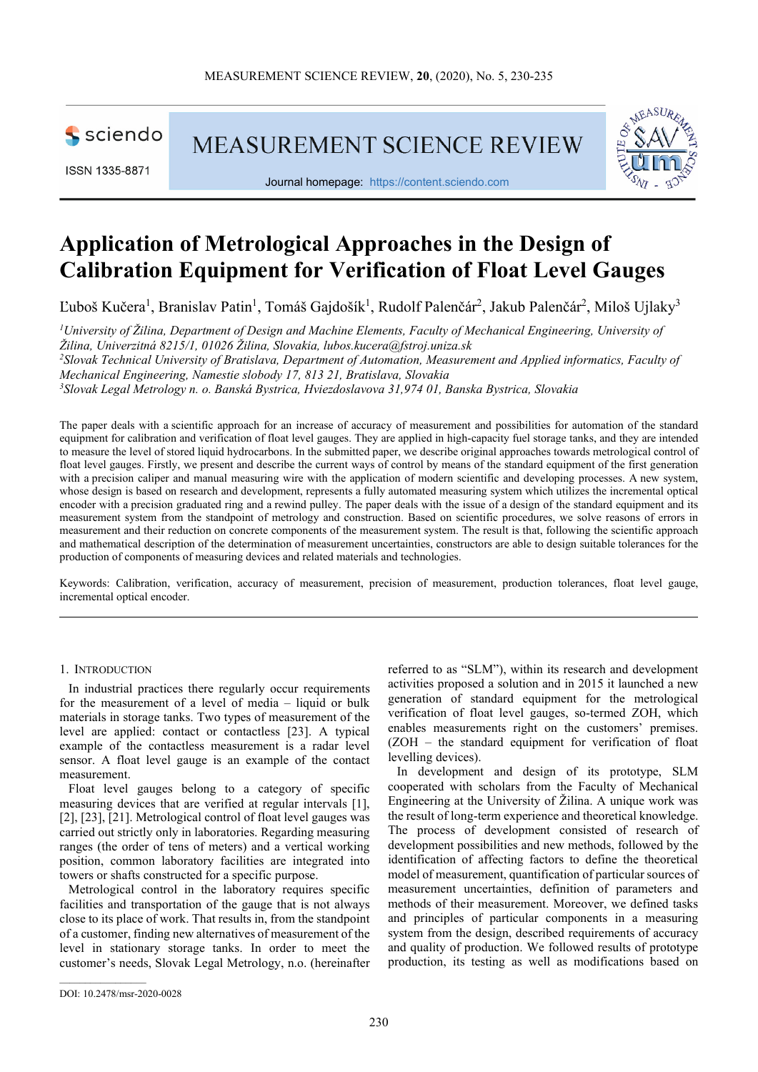

ISSN 1335-8871

**MEASUREMENT SCIENCE REVIEW** 



Journal homepage: https://content.sciendo.com

# **Application of Metrological Approaches in the Design of Calibration Equipment for Verification of Float Level Gauges**

Ľuboš Kučera<sup>1</sup>, Branislav Patin<sup>1</sup>, Tomáš Gajdošík<sup>1</sup>, Rudolf Palenčár<sup>2</sup>, Jakub Palenčár<sup>2</sup>, Miloš Ujlaky<sup>3</sup>

*<sup>1</sup>University of Žilina, Department of Design and Machine Elements, Faculty of Mechanical Engineering, University of Žilina, Univerzitná 8215/1, 01026 Žilina, Slovakia, lubos.kucera@fstroj.uniza.sk <sup>2</sup>Slovak Technical University of Bratislava, Department of Automation, Measurement and Applied informatics, Faculty of* 

*Mechanical Engineering, Namestie slobody 17, 813 21, Bratislava, Slovakia* 

*<sup>3</sup>Slovak Legal Metrology n. o. Banská Bystrica, Hviezdoslavova 31,974 01, Banska Bystrica, Slovakia* 

The paper deals with a scientific approach for an increase of accuracy of measurement and possibilities for automation of the standard equipment for calibration and verification of float level gauges. They are applied in high-capacity fuel storage tanks, and they are intended to measure the level of stored liquid hydrocarbons. In the submitted paper, we describe original approaches towards metrological control of float level gauges. Firstly, we present and describe the current ways of control by means of the standard equipment of the first generation with a precision caliper and manual measuring wire with the application of modern scientific and developing processes. A new system, whose design is based on research and development, represents a fully automated measuring system which utilizes the incremental optical encoder with a precision graduated ring and a rewind pulley. The paper deals with the issue of a design of the standard equipment and its measurement system from the standpoint of metrology and construction. Based on scientific procedures, we solve reasons of errors in measurement and their reduction on concrete components of the measurement system. The result is that, following the scientific approach and mathematical description of the determination of measurement uncertainties, constructors are able to design suitable tolerances for the production of components of measuring devices and related materials and technologies.

Keywords: Calibration, verification, accuracy of measurement, precision of measurement, production tolerances, float level gauge, incremental optical encoder.

# 1. INTRODUCTION

In industrial practices there regularly occur requirements for the measurement of a level of media – liquid or bulk materials in storage tanks. Two types of measurement of the level are applied: contact or contactless [23]. A typical example of the contactless measurement is a radar level sensor. A float level gauge is an example of the contact measurement.

Float level gauges belong to a category of specific measuring devices that are verified at regular intervals [1], [2], [23], [21]. Metrological control of float level gauges was carried out strictly only in laboratories. Regarding measuring ranges (the order of tens of meters) and a vertical working position, common laboratory facilities are integrated into towers or shafts constructed for a specific purpose.

Metrological control in the laboratory requires specific facilities and transportation of the gauge that is not always close to its place of work. That results in, from the standpoint of a customer, finding new alternatives of measurement of the level in stationary storage tanks. In order to meet the customer's needs, Slovak Legal Metrology, n.o. (hereinafter referred to as "SLM"), within its research and development activities proposed a solution and in 2015 it launched a new generation of standard equipment for the metrological verification of float level gauges, so-termed ZOH, which enables measurements right on the customers' premises. (ZOH – the standard equipment for verification of float levelling devices).

In development and design of its prototype, SLM cooperated with scholars from the Faculty of Mechanical Engineering at the University of Žilina. A unique work was the result of long-term experience and theoretical knowledge. The process of development consisted of research of development possibilities and new methods, followed by the identification of affecting factors to define the theoretical model of measurement, quantification of particular sources of measurement uncertainties, definition of parameters and methods of their measurement. Moreover, we defined tasks and principles of particular components in a measuring system from the design, described requirements of accuracy and quality of production. We followed results of prototype production, its testing as well as modifications based on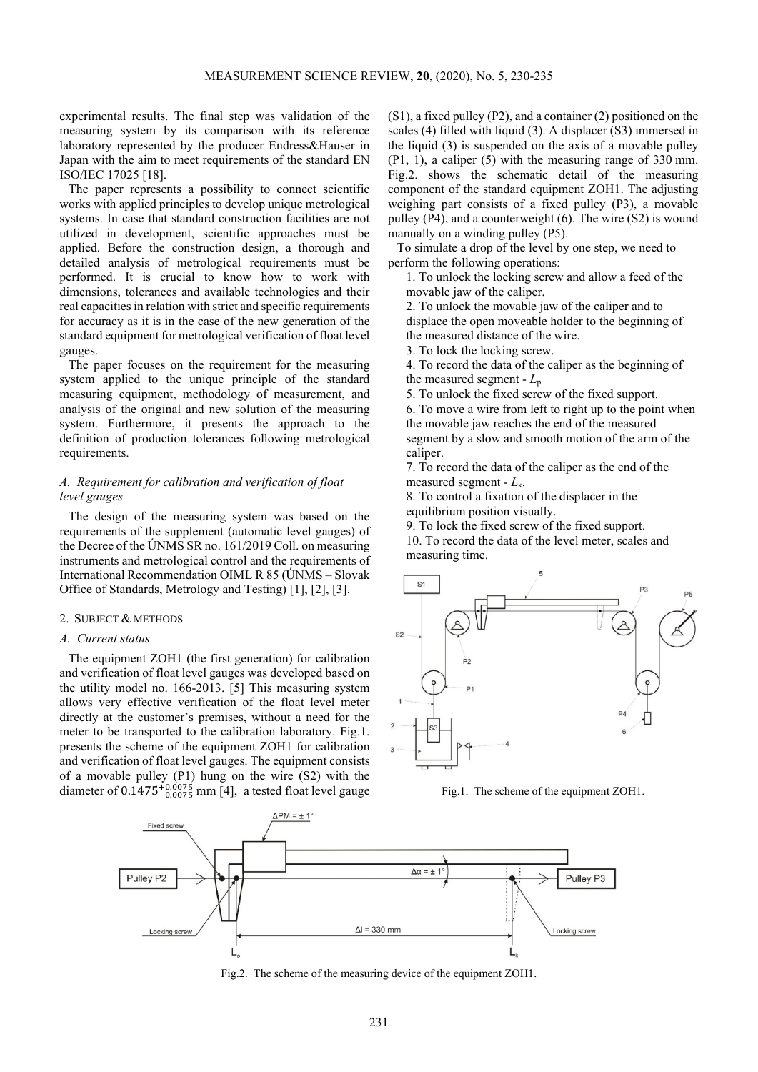experimental results. The final step was validation of the measuring system by its comparison with its reference laboratory represented by the producer Endress&Hauser in Japan with the aim to meet requirements of the standard EN ISO/IEC 17025 [18].

The paper represents a possibility to connect scientific works with applied principles to develop unique metrological systems. In case that standard construction facilities are not utilized in development, scientific approaches must be applied. Before the construction design, a thorough and detailed analysis of metrological requirements must be performed. It is crucial to know how to work with dimensions, tolerances and available technologies and their real capacities in relation with strict and specific requirements for accuracy as it is in the case of the new generation of the standard equipment for metrological verification of float level gauges.

The paper focuses on the requirement for the measuring system applied to the unique principle of the standard measuring equipment, methodology of measurement, and analysis of the original and new solution of the measuring system. Furthermore, it presents the approach to the definition of production tolerances following metrological requirements.

# *A. Requirement for calibration and verification of float level gauges*

The design of the measuring system was based on the requirements of the supplement (automatic level gauges) of the Decree of the ÚNMS SR no. 161/2019 Coll. on measuring instruments and metrological control and the requirements of International Recommendation OIML R 85 (ÚNMS – Slovak Office of Standards, Metrology and Testing) [1], [2], [3].

# 2. SUBJECT & METHODS

### *A. Current status*

The equipment ZOH1 (the first generation) for calibration and verification of float level gauges was developed based on the utility model no. 166-2013. [5] This measuring system allows very effective verification of the float level meter directly at the customer's premises, without a need for the meter to be transported to the calibration laboratory. Fig.1. presents the scheme of the equipment ZOH1 for calibration and verification of float level gauges. The equipment consists of a movable pulley (P1) hung on the wire (S2) with the diameter of  $0.1475^{+0.0075}_{-0.0075}$  mm [4], a tested float level gauge (S1), a fixed pulley (P2), and a container (2) positioned on the scales (4) filled with liquid (3). A displacer (S3) immersed in the liquid (3) is suspended on the axis of a movable pulley (P1, 1), a caliper (5) with the measuring range of 330 mm. Fig.2. shows the schematic detail of the measuring component of the standard equipment ZOH1. The adjusting weighing part consists of a fixed pulley (P3), a movable pulley (P4), and a counterweight (6). The wire (S2) is wound manually on a winding pulley (P5).

To simulate a drop of the level by one step, we need to perform the following operations:

1. To unlock the locking screw and allow a feed of the movable jaw of the caliper.

2. To unlock the movable jaw of the caliper and to displace the open moveable holder to the beginning of the measured distance of the wire.

3. To lock the locking screw.

4. To record the data of the caliper as the beginning of the measured segment - *L*p.

5. To unlock the fixed screw of the fixed support.

6. To move a wire from left to right up to the point when the movable jaw reaches the end of the measured segment by a slow and smooth motion of the arm of the caliper.

7. To record the data of the caliper as the end of the measured segment - *L*k.

8. To control a fixation of the displacer in the equilibrium position visually.

9. To lock the fixed screw of the fixed support.

10. To record the data of the level meter, scales and measuring time.



Fig.1. The scheme of the equipment ZOH1.



Fig.2. The scheme of the measuring device of the equipment ZOH1.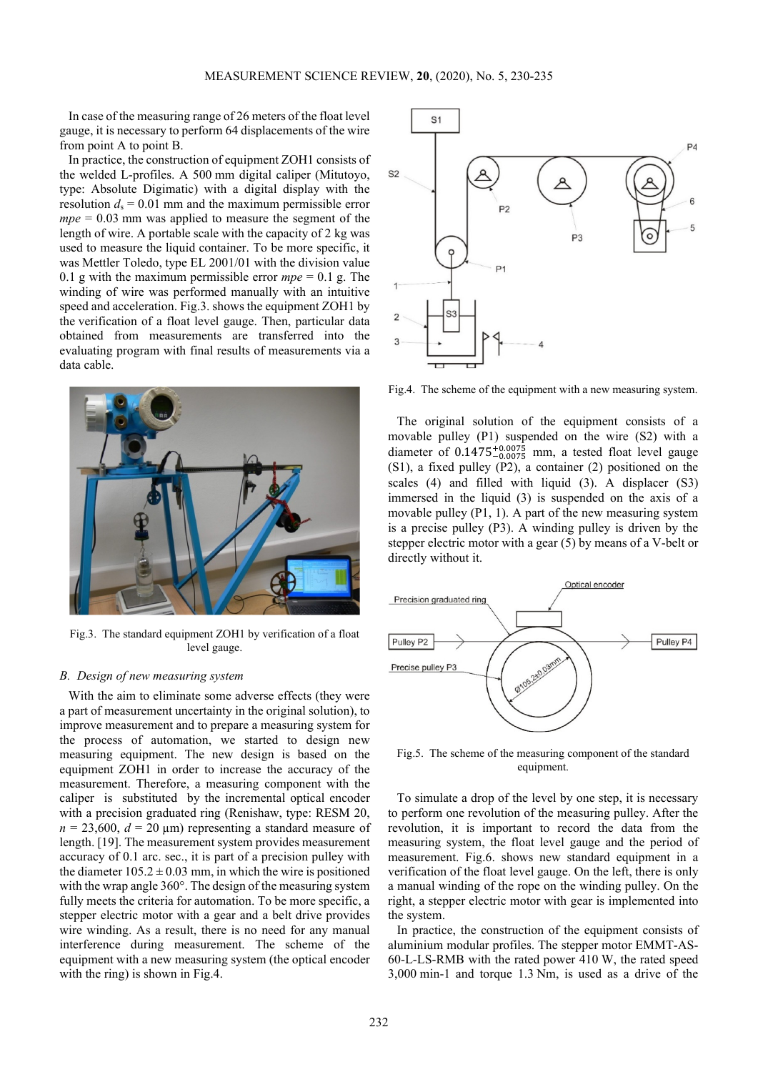In case of the measuring range of 26 meters of the float level gauge, it is necessary to perform 64 displacements of the wire from point A to point B.

In practice, the construction of equipment ZOH1 consists of the welded L-profiles. A 500 mm digital caliper (Mitutoyo, type: Absolute Digimatic) with a digital display with the resolution  $d_s = 0.01$  mm and the maximum permissible error *mpe* = 0.03 mm was applied to measure the segment of the length of wire. A portable scale with the capacity of 2 kg was used to measure the liquid container. To be more specific, it was Mettler Toledo, type EL 2001/01 with the division value 0.1 g with the maximum permissible error *mpe* = 0.1 g. The winding of wire was performed manually with an intuitive speed and acceleration. Fig.3. shows the equipment ZOH1 by the verification of a float level gauge. Then, particular data obtained from measurements are transferred into the evaluating program with final results of measurements via a data cable.



Fig.3. The standard equipment ZOH1 by verification of a float level gauge.

# *B. Design of new measuring system*

With the aim to eliminate some adverse effects (they were a part of measurement uncertainty in the original solution), to improve measurement and to prepare a measuring system for the process of automation, we started to design new measuring equipment. The new design is based on the equipment ZOH1 in order to increase the accuracy of the measurement. Therefore, a measuring component with the caliper is substituted by the incremental optical encoder with a precision graduated ring (Renishaw, type: RESM 20,  $n = 23,600$ ,  $d = 20 \text{ }\mu\text{m}$  representing a standard measure of length. [19]. The measurement system provides measurement accuracy of 0.1 arc. sec., it is part of a precision pulley with the diameter  $105.2 \pm 0.03$  mm, in which the wire is positioned with the wrap angle 360°. The design of the measuring system fully meets the criteria for automation. To be more specific, a stepper electric motor with a gear and a belt drive provides wire winding. As a result, there is no need for any manual interference during measurement. The scheme of the equipment with a new measuring system (the optical encoder with the ring) is shown in Fig.4.



Fig.4. The scheme of the equipment with a new measuring system.

The original solution of the equipment consists of a movable pulley (P1) suspended on the wire (S2) with a diameter of  $0.1475^{+0.0075}_{-0.0075}$  mm, a tested float level gauge (S1), a fixed pulley (P2), a container (2) positioned on the scales (4) and filled with liquid (3). A displacer (S3) immersed in the liquid (3) is suspended on the axis of a movable pulley (P1, 1). A part of the new measuring system is a precise pulley (P3). A winding pulley is driven by the stepper electric motor with a gear (5) by means of a V-belt or directly without it.



Fig.5. The scheme of the measuring component of the standard equipment.

To simulate a drop of the level by one step, it is necessary to perform one revolution of the measuring pulley. After the revolution, it is important to record the data from the measuring system, the float level gauge and the period of measurement. Fig.6. shows new standard equipment in a verification of the float level gauge. On the left, there is only a manual winding of the rope on the winding pulley. On the right, a stepper electric motor with gear is implemented into the system.

In practice, the construction of the equipment consists of aluminium modular profiles. The stepper motor EMMT-AS-60-L-LS-RMB with the rated power 410 W, the rated speed 3,000 min-1 and torque 1.3 Nm, is used as a drive of the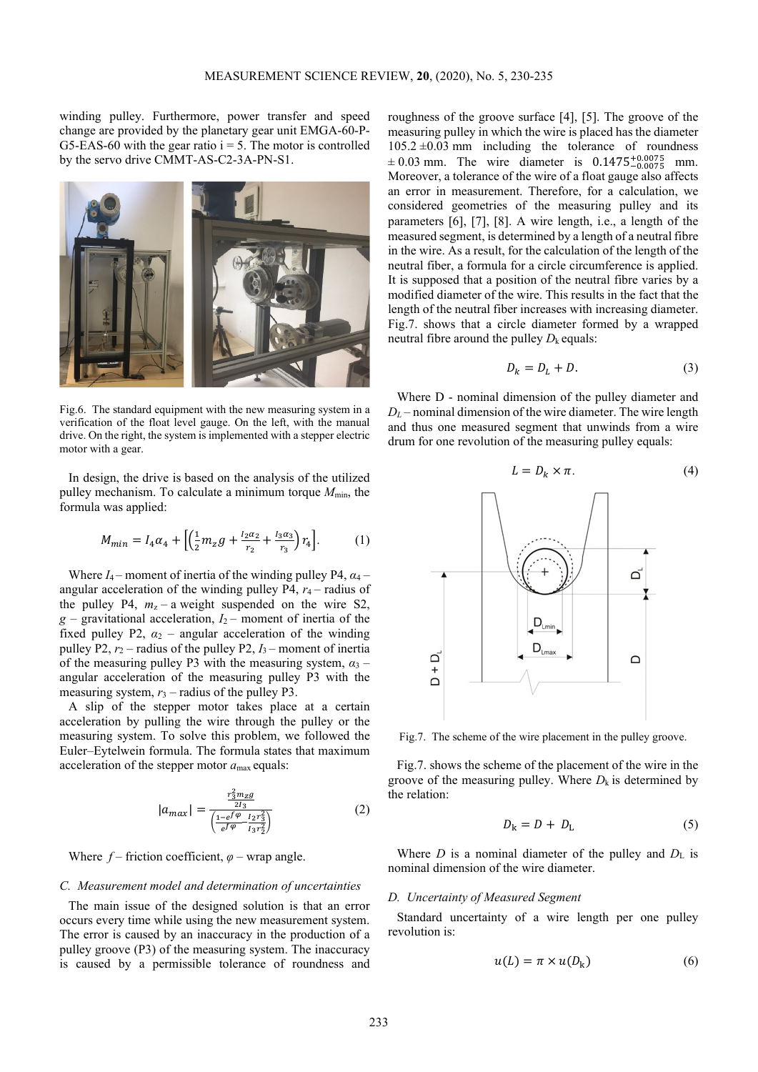winding pulley. Furthermore, power transfer and speed change are provided by the planetary gear unit EMGA-60-P-G5-EAS-60 with the gear ratio  $i = 5$ . The motor is controlled by the servo drive CMMT-AS-C2-3A-PN-S1.



Fig.6. The standard equipment with the new measuring system in a verification of the float level gauge. On the left, with the manual drive. On the right, the system is implemented with a stepper electric motor with a gear.

In design, the drive is based on the analysis of the utilized pulley mechanism. To calculate a minimum torque  $M_{\text{min}}$ , the formula was applied:

$$
M_{min} = I_4 \alpha_4 + \left[ \left( \frac{1}{2} m_Z g + \frac{I_2 \alpha_2}{r_2} + \frac{I_3 \alpha_3}{r_3} \right) r_4 \right].
$$
 (1)

Where  $I_4$ – moment of inertia of the winding pulley P4,  $\alpha_4$ – angular acceleration of the winding pulley  $P4$ ,  $r_4$  – radius of the pulley P4,  $m_z$  – a weight suspended on the wire S2,  $g$  – gravitational acceleration,  $I_2$  – moment of inertia of the fixed pulley P2,  $\alpha_2$  – angular acceleration of the winding pulley P2,  $r_2$  – radius of the pulley P2,  $I_3$  – moment of inertia of the measuring pulley P3 with the measuring system,  $\alpha_3$  – angular acceleration of the measuring pulley P3 with the measuring system,  $r_3$  – radius of the pulley P3.

A slip of the stepper motor takes place at a certain acceleration by pulling the wire through the pulley or the measuring system. To solve this problem, we followed the Euler–Eytelwein formula. The formula states that maximum acceleration of the stepper motor *a*max equals:

$$
|a_{max}| = \frac{\frac{r_3^2 m_Z g}{2l_3}}{\left(\frac{1 - e^f \varphi - l_2 r_3^2}{e^f \varphi - l_3 r_2^2}\right)}\tag{2}
$$

Where  $f$  – friction coefficient,  $\varphi$  – wrap angle.

#### *C. Measurement model and determination of uncertainties*

The main issue of the designed solution is that an error occurs every time while using the new measurement system. The error is caused by an inaccuracy in the production of a pulley groove (P3) of the measuring system. The inaccuracy is caused by a permissible tolerance of roundness and roughness of the groove surface [4], [5]. The groove of the measuring pulley in which the wire is placed has the diameter  $105.2 \pm 0.03$  mm including the tolerance of roundness  $\pm 0.03$  mm. The wire diameter is  $0.1475^{+0.0075}_{-0.0075}$  mm. Moreover, a tolerance of the wire of a float gauge also affects an error in measurement. Therefore, for a calculation, we considered geometries of the measuring pulley and its parameters [6], [7], [8]. A wire length, i.e., a length of the measured segment, is determined by a length of a neutral fibre in the wire. As a result, for the calculation of the length of the neutral fiber, a formula for a circle circumference is applied. It is supposed that a position of the neutral fibre varies by a modified diameter of the wire. This results in the fact that the length of the neutral fiber increases with increasing diameter. Fig.7. shows that a circle diameter formed by a wrapped neutral fibre around the pulley  $D_k$  equals:

$$
D_k = D_L + D. \tag{3}
$$

Where D - nominal dimension of the pulley diameter and  $D_L$  – nominal dimension of the wire diameter. The wire length and thus one measured segment that unwinds from a wire drum for one revolution of the measuring pulley equals:



Fig.7. The scheme of the wire placement in the pulley groove.

Fig.7. shows the scheme of the placement of the wire in the groove of the measuring pulley. Where  $D_k$  is determined by the relation:

$$
D_{\mathbf{k}} = D + D_{\mathbf{L}} \tag{5}
$$

Where *D* is a nominal diameter of the pulley and  $D<sub>L</sub>$  is nominal dimension of the wire diameter.

# *D. Uncertainty of Measured Segment*

Standard uncertainty of a wire length per one pulley revolution is:

$$
u(L) = \pi \times u(D_k) \tag{6}
$$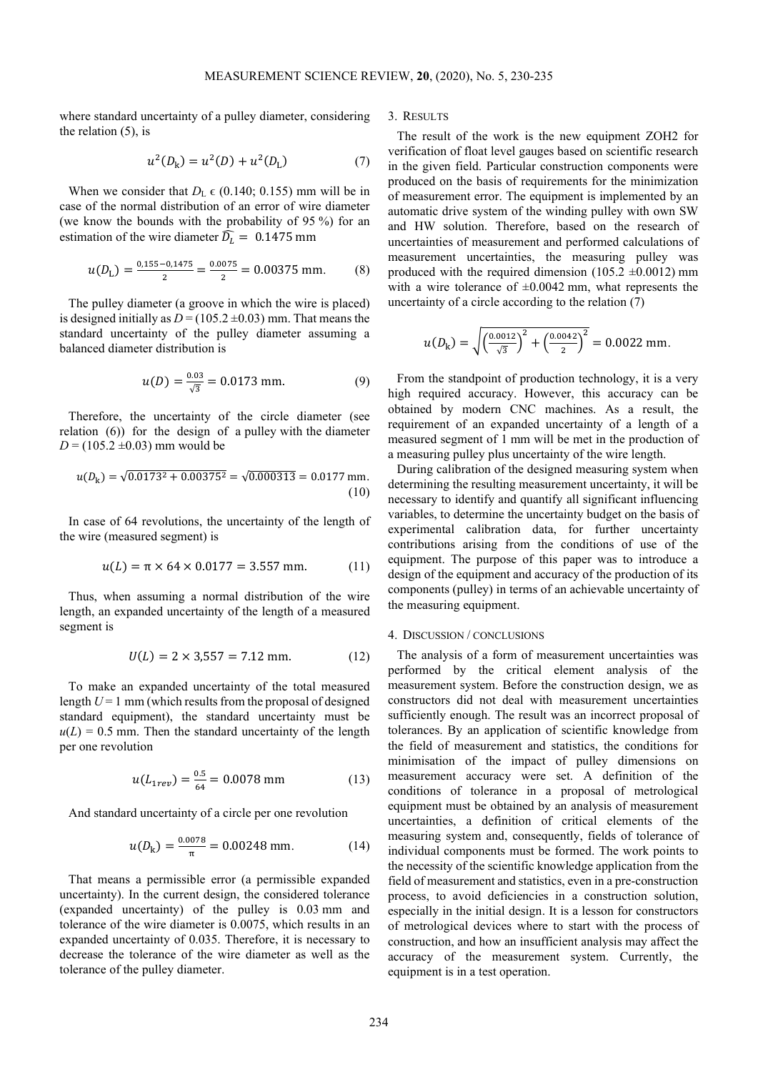where standard uncertainty of a pulley diameter, considering the relation (5), is

$$
u^{2}(D_{k}) = u^{2}(D) + u^{2}(D_{L})
$$
 (7)

When we consider that  $D_L \in (0.140; 0.155)$  mm will be in case of the normal distribution of an error of wire diameter (we know the bounds with the probability of 95 %) for an estimation of the wire diameter  $\widehat{D}_L = 0.1475$  mm

$$
u(D_{\rm L}) = \frac{0.155 - 0.1475}{2} = \frac{0.0075}{2} = 0.00375 \text{ mm.}
$$
 (8)

The pulley diameter (a groove in which the wire is placed) is designed initially as  $D = (105.2 \pm 0.03)$  mm. That means the standard uncertainty of the pulley diameter assuming a balanced diameter distribution is

$$
u(D) = \frac{0.03}{\sqrt{3}} = 0.0173 \text{ mm.}
$$
 (9)

Therefore, the uncertainty of the circle diameter (see relation (6)) for the design of a pulley with the diameter  $D = (105.2 \pm 0.03)$  mm would be

$$
u(D_{k}) = \sqrt{0.0173^{2} + 0.00375^{2}} = \sqrt{0.000313} = 0.0177
$$
 mm. (10)

In case of 64 revolutions, the uncertainty of the length of the wire (measured segment) is

$$
u(L) = \pi \times 64 \times 0.0177 = 3.557 \text{ mm.}
$$
 (11)

Thus, when assuming a normal distribution of the wire length, an expanded uncertainty of the length of a measured segment is

$$
U(L) = 2 \times 3{,}557 = 7.12 \text{ mm}.
$$
 (12)

To make an expanded uncertainty of the total measured length  $U = 1$  mm (which results from the proposal of designed standard equipment), the standard uncertainty must be  $u(L) = 0.5$  mm. Then the standard uncertainty of the length per one revolution

$$
u(L_{1rev}) = \frac{0.5}{64} = 0.0078 \text{ mm}
$$
 (13)

And standard uncertainty of a circle per one revolution

$$
u(D_{k}) = \frac{0.0078}{\pi} = 0.00248 \text{ mm.}
$$
 (14)

That means a permissible error (a permissible expanded uncertainty). In the current design, the considered tolerance (expanded uncertainty) of the pulley is 0.03 mm and tolerance of the wire diameter is 0.0075, which results in an expanded uncertainty of 0.035. Therefore, it is necessary to decrease the tolerance of the wire diameter as well as the tolerance of the pulley diameter.

3. RESULTS

The result of the work is the new equipment ZOH2 for verification of float level gauges based on scientific research in the given field. Particular construction components were produced on the basis of requirements for the minimization of measurement error. The equipment is implemented by an automatic drive system of the winding pulley with own SW and HW solution. Therefore, based on the research of uncertainties of measurement and performed calculations of measurement uncertainties, the measuring pulley was produced with the required dimension (105.2  $\pm$ 0.0012) mm with a wire tolerance of  $\pm 0.0042$  mm, what represents the uncertainty of a circle according to the relation (7)

$$
u(D_{k}) = \sqrt{\left(\frac{0.0012}{\sqrt{3}}\right)^{2} + \left(\frac{0.0042}{2}\right)^{2}} = 0.0022 \text{ mm}.
$$

From the standpoint of production technology, it is a very high required accuracy. However, this accuracy can be obtained by modern CNC machines. As a result, the requirement of an expanded uncertainty of a length of a measured segment of 1 mm will be met in the production of a measuring pulley plus uncertainty of the wire length.

During calibration of the designed measuring system when determining the resulting measurement uncertainty, it will be necessary to identify and quantify all significant influencing variables, to determine the uncertainty budget on the basis of experimental calibration data, for further uncertainty contributions arising from the conditions of use of the equipment. The purpose of this paper was to introduce a design of the equipment and accuracy of the production of its components (pulley) in terms of an achievable uncertainty of the measuring equipment.

## 4. DISCUSSION / CONCLUSIONS

The analysis of a form of measurement uncertainties was performed by the critical element analysis of the measurement system. Before the construction design, we as constructors did not deal with measurement uncertainties sufficiently enough. The result was an incorrect proposal of tolerances. By an application of scientific knowledge from the field of measurement and statistics, the conditions for minimisation of the impact of pulley dimensions on measurement accuracy were set. A definition of the conditions of tolerance in a proposal of metrological equipment must be obtained by an analysis of measurement uncertainties, a definition of critical elements of the measuring system and, consequently, fields of tolerance of individual components must be formed. The work points to the necessity of the scientific knowledge application from the field of measurement and statistics, even in a pre-construction process, to avoid deficiencies in a construction solution, especially in the initial design. It is a lesson for constructors of metrological devices where to start with the process of construction, and how an insufficient analysis may affect the accuracy of the measurement system. Currently, the equipment is in a test operation.